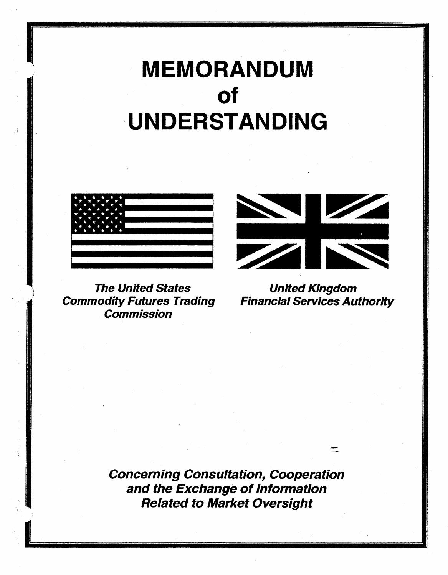# MEMORANDUM of UNDERSTANDING



The United States United Kingdom **Commodity Futures Trading Financial Services Authority Commission** 



 $=$ 

Concerning Consultation, Cooperation and the Exchange of Information Related to Market Oversight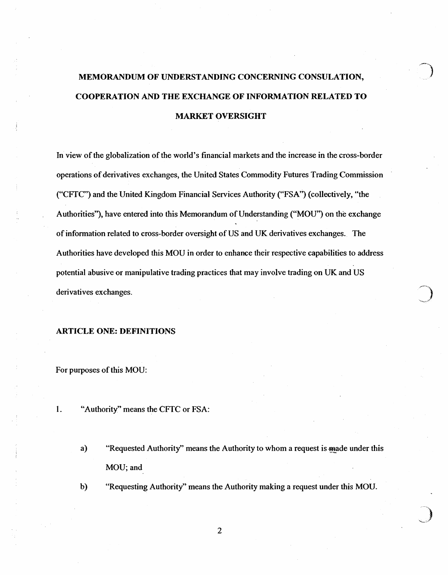# MEMORANDUM OF UNDERSTANDING CONCERNING CONSULATION, COOPERATION AND THE EXCHANGE OF INFORMATION RELATED TO MARKET OVERSIGHT

In view of the globalization of the world's financial markets and the increase in the cross-border operations of derivatives exchanges, the United States Commodity Futures Trading Commission ("CFTC") and the United Kingdom Financial Services Authority ("FSA'') (collectively, "the Authorities''), have entered into this Memorandum of Understanding ("MOU") on the exchange of information related to cross-border oversight of US and UK derivatives exchanges.. The Authorities have developed this MOU in order to enhance their respective capabilities to address potential abusive or manipulative trading practices that may involve trading on UK and US derivatives exchanges.

#### ARTICLE ONE: DEFINITIONS

For purposes of this MOU:

- 1. "Authority" means the CFTC or FSA:
	- a) "Requested Authority" means the Authority to whom a request is made under this MOU; and
	- b) "Requesting Authority" means the Authority making a request under this MOU.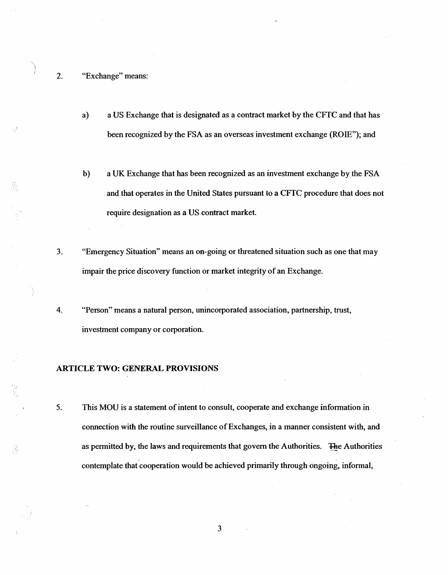#### 2. "Exchange'' means:

- a) a US Exchange that is designated as a contract market by the CFfC and that has been recognized by the FSA as an overseas investment exchange (ROIE"); and
- b) a UK Exchange that has been recognized as an investment exchange by the FSA and that operates in the United States pursuant to a CFfC procedure that does not require designation as a US contract market.
- 3. "Emergency Situation" means an on-going or threatened situation such as one that may impair the price discovery function or market integrity of an Exchange.
- 4. "Person" means a natural person, unincorporated association, partnership, trust, investment company or corporation.

#### ARTICLE TWO: GENERAL PROVISIONS

5. This MOU is a statement of intent to consult, cooperate and exchange information in connection with the routine surveillance of Exchanges, in a manner consistent with, and as permitted by, the laws and requirements that govern the Authorities. ~e Authorities contemplate that cooperation would be achieved primarily through ongoing, informal,

Ä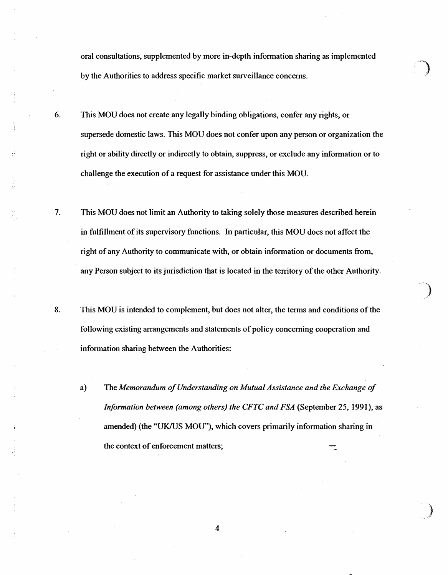oral consultations, supplemented by more in-depth information sharing as implemented by the Authorities to address specific market surveillance concerns.

- 6. This MOU does not create any legally binding obligations, confer any rights, or supersede domestic laws. This MOU does not confer upon any person or organization the right or ability directly or indirectly to obtain, suppress, or exclude any information or to challenge the execution of a request for assistance under this MOU.
- 7. This MOU does not limit an Authority to taking solely those measures described herein in fulfillment of its supervisory functions. In particular, this MOU does not affect the right of any Authority to communicate with, or obtain information or documents from, any Person subject to its jurisdiction that is located in the territory of the other Authority.
- 8. This MOU is intended to complement, but does not alter, the terms and conditions of the following existing arrangements and statements of policy concerning cooperation and information sharing between the Authorities:

·')

a) The *Memorandum of Understanding on Mutual Assistance and the Exchange of Information between (among others) the CFTC and FSA* (September 25, 1991), as amended) (the "UK/US MOU"), which covers primarily information sharing in the context of enforcement matters;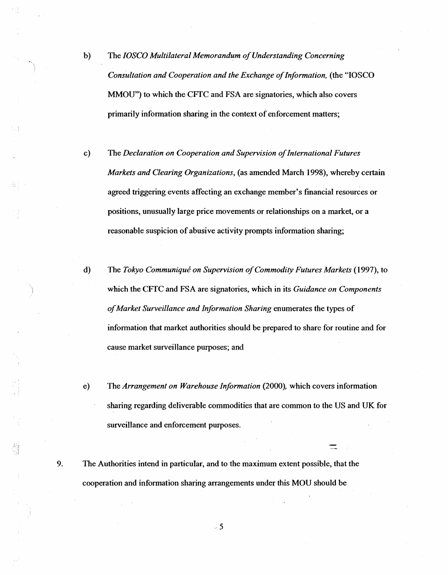- b) The *IOSCO Multilateral Memorandum of Understanding Concerning Consultation and Cooperation and the Exchange of Information.* (the "IOSCO MMOU") to which the CFfC and FSA are signatories, which also covers primarily information sharing in the context of enforcement matters;
- c) The *Declaration on Cooperation and Supervision of International Futures Markets and Clearing Organizations,* (as amended March 1998), whereby certain agreed triggering events affecting an exchange member's financial resources or positions, unusually large price movements or relationships on a market, or a reasonable suspicion of abusive activity prompts information sharing;
- d) The *Tokyo Communique on Supervision of Commodity Futures Markets* (1997), to which the CFfC and FSA are signatories, which in its *Guidance on Components of Market Surveillance and Information Sharing* enumerates the types of information that market authorities should be prepared to share for routine and for cause market surveillance purposes; and
- e) The *Arrangement on Warehouse Information* (2000), which covers information sharing regarding deliverable commodities that are common to the US and UK for surveillance and enforcement purposes.

 $\equiv$ 

9. The Authorities intend in particular, and to the maximum extent possible, that the cooperation and information sharing arrangements under this MOU should be

-· 5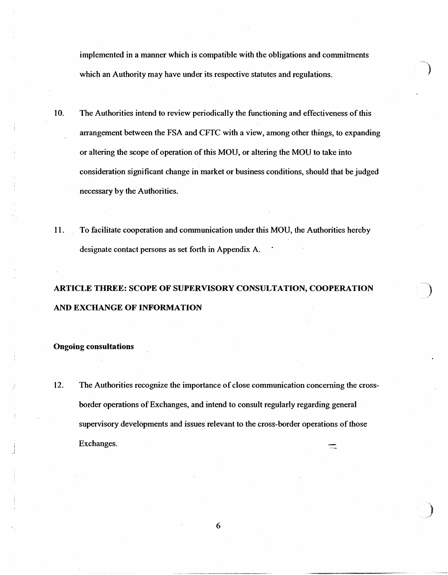implemented in a manner which is compatible with the obligations and commitments which an Authority may have under its respective statutes and regulations.

- 10. The Authorities intend to review periodically the functioning and effectiveness of this arrangement between the FSA and CFfC with a view, among other things, to expanding or altering the scope of operation of this MOU, or altering the MOU to take into consideration significant change in market or business conditions, should that be judged necessary by the Authorities.
- 11. To facilitate cooperation and communication under this MOU, the Authorities hereby designate contact persons as set forth in Appendix A.

# ARTICLE THREE: SCOPE OF SUPERVISORY CONSULTATION, COOPERATION AND EXCHANGE OF INFORMATlON

#### . Ongoing consultations

12. The Authorities recognize the importance of close communication concerning the crossborder operations of Exchanges, and intend to consult regularly regarding general supervisory developments and issues relevant to the cross-border operations of those Exchanges.  $\equiv$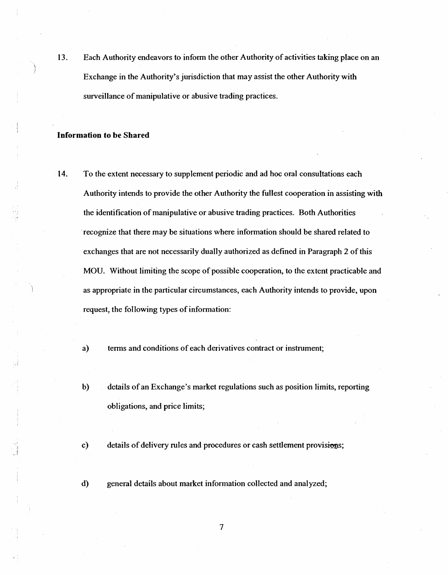13. Each Authority endeavors to inform the other Authority of activities taking place on an Exchange in the Authority's jurisdiction that may assist the other Authority with surveillance of manipulative or abusive trading practices.

#### Information to be Shared

14. To the extent necessary to supplement periodic and ad hoc oral consultations each Authority intends to provide the other Authority the fullest cooperation in assisting with the identification of manipulative or abusive trading practices. Both Authorities ·recognize that there may be situations where information should be shared related to exchanges that are not necessarily dually authorized as defined in Paragraph 2 of this MOU. Without limiting the scope of possible cooperation, to the extent practicable and as appropriate in the particular circumstances, each Authority intends to provide, upon request, the following types of information:

a) terms and conditions of each derivatives contract or instrument;

b) details of an Exchange's market regulations such as position limits, reporting obligations, and price limits;

c) details of delivery rules and procedures or cash settlement provisions;

d) general details about market information collected and analyzed;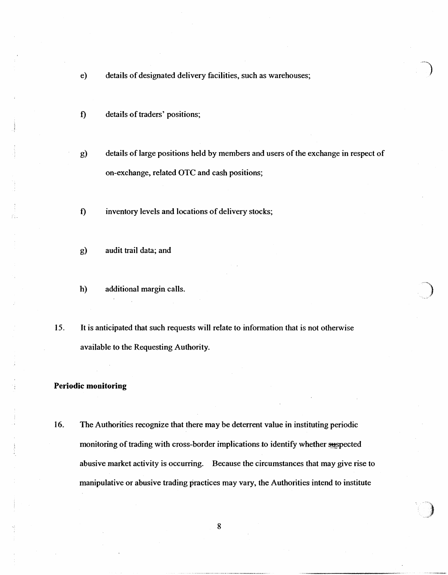- e) details of designated delivery facilities, such as warehouses;
- f) details of traders' positions;
- g) details of large positions held by members and users of the exchange in respect of on-exchange, related OTC and cash positions;
- f) inventory levels and locations of delivery stocks;
- g) audit trail data; and
- h) additional margin calls.
- 15. It is anticipated that such requests will relate to information that is not otherwise available to the Requesting Authority.

#### Periodic monitoring

16. The Authorities recognize that there may be deterrent value in instituting periodic monitoring of trading with cross-border implications to identify whether suspected abusive market activity is occurring. Because the circumstances that may give rise to manipulative or abusive trading practices may vary, the Authorities intend to institute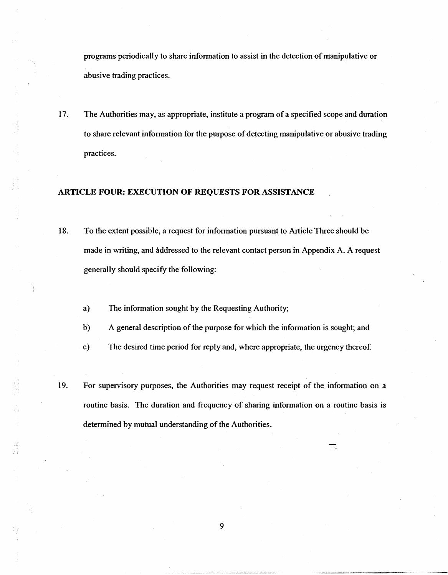programs periodically to share information to assist in the detection of manipulative or abusive trading practices.

17. The Authorities may, as appropriate, institute a program of a specified scope and duration to share relevant information for the purpose of detecting manipulative or abusive trading practices.

## ARTICLE FOUR: EXECUTION OF REQUESTS FOR ASSISTANCE

- 18. To the extent possible, a request for information pursuant to Article Three should be made in writing, and addressed to the relevant contact person in Appendix A. A request generally should specify the following:
	- a) The information sought by the Requesting Authority;
	- b) A general description of the purpose for which the information is sought; and
	- c) The desired time period for reply and, where appropriate, the urgency thereof.
- 19. For supervisory purposes, the Authorities may request receipt of the information on a routine basis. The duration and frequency of sharing information on a routine basis is determined by mutual understanding of the Authorities.

==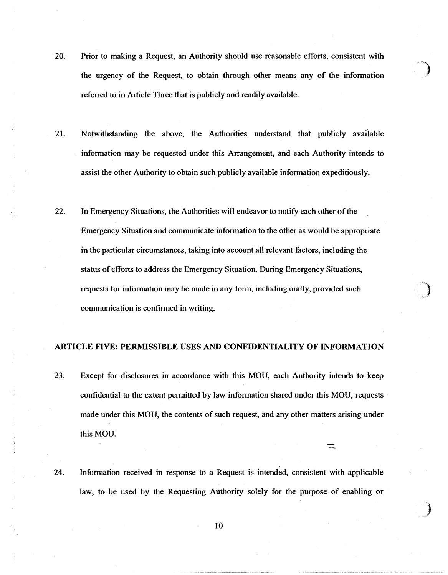- 20. Prior to making a Request, an Authority should use reasonable efforts, consistent with the urgency of the Request, to obtain through other means any of the information referred to in Article Three that is publicly and readily available.
- 21. Notwithstanding the above, the Authorities understand that publicly available information may be requested under this Arrangement, and each Authority intends to assist the other Authority to obtain such publicly available information expeditiously.
- 22. In Emergency Situations, the Authorities will endeavor to notify each other of the Emergency Situation and communicate information to the other as would be appropriate in the particular circumstances, taking into account all relevant factors, including the status of efforts to address the Emergency Situation. During Emergency Situations, requests for information may be made in any form, including ora1ly, provided such communication is confirmed in writing.

#### ARTICLE FIVE: PERMISSIBLE USES AND CONFIDENTIALITY OF INFORMATION

- 23. Except for disclosures in accordance with this MOU, each Authority intends to keep confidential to the extent permitted by law information shared under this MOU, requests made under this MOU, the contents of such request, and any other matters arising under this MOU.
- 24. Information received in response to a Request is intended, consistent with applicable law, to be used by the Requesting Authority solely for the purpose of enabling or

*\_f* 

10

)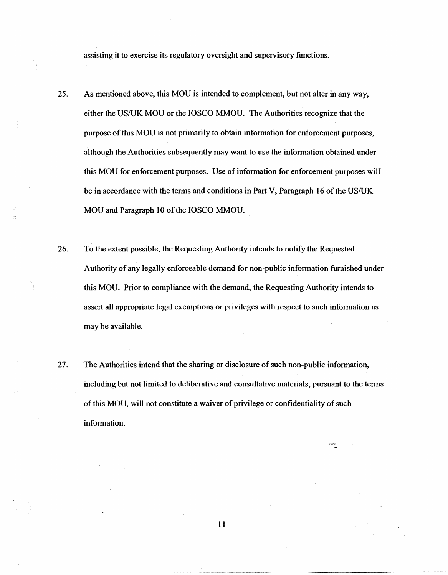assisting it to exercise its regulatory oversight and supervisory functions.

- 25. As mentioned above, this MOU is intended to complement, but not alter in any way, either the US/UK MOU or the IOSCO MMOU. The Authorities recognize that the purpose of this MOU is not primarily to obtain information for enforcement purposes, although the Authorities subsequently may want to use the information obtained under this MOU for enforcement purposes. Use of information for enforcement purposes will be in accordance with the terms and conditions in Part V, Paragraph 16 of the US/UK MOU and Paragraph 10 of the IOSCO MMOU.
- 26. To the extent possible, the Requesting Authority intends to notify the Requested Authority of any legally enforceable demand for non-public information furnished under this MOU. Prior to compliance with the demand, the Requesting Authority intends to assert all appropriate legal exemptions or privileges with respect to such information as may be available.
- 27. The Authorities intend that the sharing or disclosure of such non-public information, including but not limited to deliberative and consultative materials, pursuant to the terms of this MOU, will not constitute a waiver of privilege or confidentiality of such information.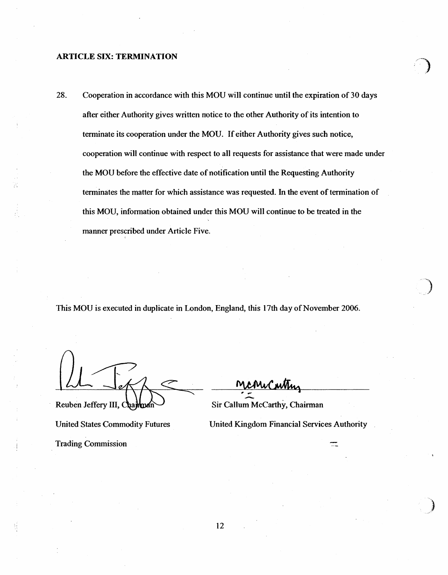#### ARTICLE SIX: TERMINATION

28. Cooperation in accordance with this MOU will continue until the expiration of 30 days after either Authority gives written notice to the other Authority of its intention to terminate its cooperation under the MOU. If either Authority gives such notice, cooperation will continue with respect to all requests for assistance that were made under the MOU before the effective date of notification until the Requesting Authority terminates the matter for which assistance was requested. In the event of termination of this MOU, information obtained under this MOU will continue to be treated in the manner prescribed under Article Five. '

This MOU is executed in duplicate in London, England, this 17th day of November 2006.

Trading Commission

Reuben Jeffery III, Chambuch

United States Commodity Futures United Kingdom Financial Services Authority

 $\equiv$